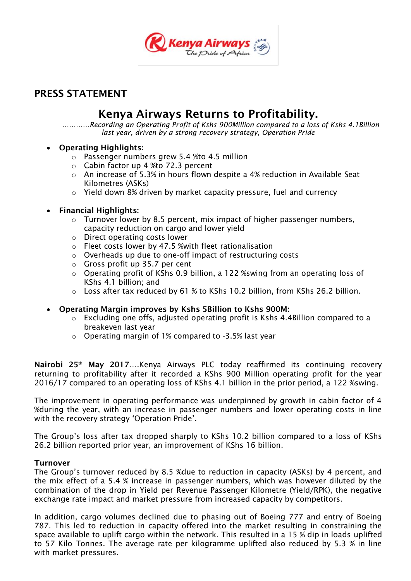

## **PRESS STATEMENT**

# **Kenya Airways Returns to Profitability.**

*…………Recording an Operating Profit of Kshs 900Million compared to a loss of Kshs 4.1Billion last year, driven by a strong recovery strategy, Operation Pride*

#### **Operating Highlights:**

- o Passenger numbers grew 5.4 %to 4.5 million
- o Cabin factor up 4 %to 72.3 percent
- $\circ$  An increase of 5.3% in hours flown despite a 4% reduction in Available Seat Kilometres (ASKs)
- o Yield down 8% driven by market capacity pressure, fuel and currency

## **Financial Highlights:**

- o Turnover lower by 8.5 percent, mix impact of higher passenger numbers, capacity reduction on cargo and lower yield
- o Direct operating costs lower
- o Fleet costs lower by 47.5 %with fleet rationalisation
- o Overheads up due to one-off impact of restructuring costs
- o Gross profit up 35.7 per cent
- $\circ$  Operating profit of KShs 0.9 billion, a 122 % wing from an operating loss of KShs 4.1 billion; and
- o Loss after tax reduced by 61 % to KShs 10.2 billion, from KShs 26.2 billion.
- **Operating Margin improves by Kshs 5Billion to Kshs 900M:**
	- o Excluding one offs, adjusted operating profit is Kshs 4.4Billion compared to a breakeven last year
	- o Operating margin of 1% compared to -3.5% last year

**Nairobi 25th May 2017**….Kenya Airways PLC today reaffirmed its continuing recovery returning to profitability after it recorded a KShs 900 Million operating profit for the year 2016/17 compared to an operating loss of KShs 4.1 billion in the prior period, a 122 %swing.

The improvement in operating performance was underpinned by growth in cabin factor of 4 %during the year, with an increase in passenger numbers and lower operating costs in line with the recovery strategy 'Operation Pride'.

The Group"s loss after tax dropped sharply to KShs 10.2 billion compared to a loss of KShs 26.2 billion reported prior year, an improvement of KShs 16 billion.

#### **Turnover**

The Group"s turnover reduced by 8.5 %due to reduction in capacity (ASKs) by 4 percent, and the mix effect of a 5.4 % increase in passenger numbers, which was however diluted by the combination of the drop in Yield per Revenue Passenger Kilometre (Yield/RPK), the negative exchange rate impact and market pressure from increased capacity by competitors.

In addition, cargo volumes declined due to phasing out of Boeing 777 and entry of Boeing 787. This led to reduction in capacity offered into the market resulting in constraining the space available to uplift cargo within the network. This resulted in a 15 % dip in loads uplifted to 57 Kilo Tonnes. The average rate per kilogramme uplifted also reduced by 5.3 % in line with market pressures.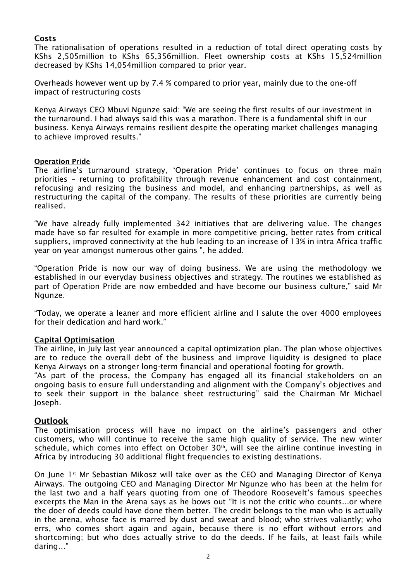#### **Costs**

The rationalisation of operations resulted in a reduction of total direct operating costs by KShs 2,505million to KShs 65,356million. Fleet ownership costs at KShs 15,524million decreased by KShs 14,054million compared to prior year.

Overheads however went up by 7.4 % compared to prior year, mainly due to the one-off impact of restructuring costs

Kenya Airways CEO Mbuvi Ngunze said: "We are seeing the first results of our investment in the turnaround. I had always said this was a marathon. There is a fundamental shift in our business. Kenya Airways remains resilient despite the operating market challenges managing to achieve improved results."

#### **Operation Pride**

The airline's turnaround strategy, 'Operation Pride' continues to focus on three main priorities – returning to profitability through revenue enhancement and cost containment, refocusing and resizing the business and model, and enhancing partnerships, as well as restructuring the capital of the company. The results of these priorities are currently being realised.

"We have already fully implemented 342 initiatives that are delivering value. The changes made have so far resulted for example in more competitive pricing, better rates from critical suppliers, improved connectivity at the hub leading to an increase of 13% in intra Africa traffic year on year amongst numerous other gains ", he added.

"Operation Pride is now our way of doing business. We are using the methodology we established in our everyday business objectives and strategy. The routines we established as part of Operation Pride are now embedded and have become our business culture," said Mr Ngunze.

"Today, we operate a leaner and more efficient airline and I salute the over 4000 employees for their dedication and hard work."

#### **Capital Optimisation**

The airline, in July last year announced a capital optimization plan. The plan whose objectives are to reduce the overall debt of the business and improve liquidity is designed to place Kenya Airways on a stronger long-term financial and operational footing for growth.

"As part of the process, the Company has engaged all its financial stakeholders on an ongoing basis to ensure full understanding and alignment with the Company"s objectives and to seek their support in the balance sheet restructuring" said the Chairman Mr Michael Joseph.

#### **Outlook**

The optimisation process will have no impact on the airline"s passengers and other customers, who will continue to receive the same high quality of service. The new winter schedule, which comes into effect on October 30<sup>th</sup>, will see the airline continue investing in Africa by introducing 30 additional flight frequencies to existing destinations.

On June 1<sup>st</sup> Mr Sebastian Mikosz will take over as the CEO and Managing Director of Kenya Airways. The outgoing CEO and Managing Director Mr Ngunze who has been at the helm for the last two and a half years quoting from one of Theodore Roosevelt's famous speeches excerpts the Man in the Arena says as he bows out "It is not the critic who counts...or where the doer of deeds could have done them better. The credit belongs to the man who is actually in the arena, whose face is marred by dust and sweat and blood; who strives valiantly; who errs, who comes short again and again, because there is no effort without errors and shortcoming; but who does actually strive to do the deeds. If he fails, at least fails while daring…"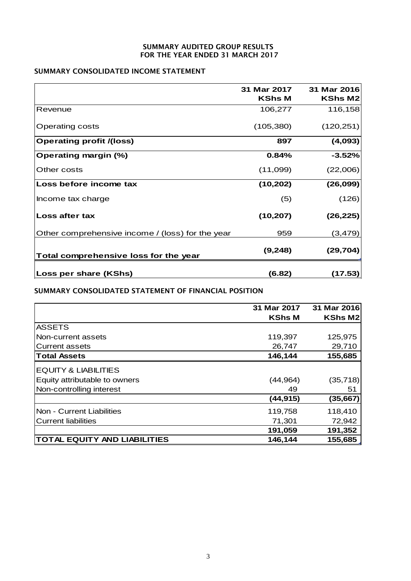#### **SUMMARY AUDITED GROUP RESULTS FOR THE YEAR ENDED 31 MARCH 2017**

### **SUMMARY CONSOLIDATED INCOME STATEMENT**

|                                                  | 31 Mar 2017<br>KShs M | 31 Mar 2016<br>KShs M2 |
|--------------------------------------------------|-----------------------|------------------------|
| Revenue                                          | 106,277               | 116,158                |
| Operating costs                                  | (105, 380)            | (120, 251)             |
| <b>Operating profit /(loss)</b>                  | 897                   | (4,093)                |
| <b>Operating margin (%)</b>                      | 0.84%                 | $-3.52%$               |
| Other costs                                      | (11,099)              | (22,006)               |
| Loss before income tax                           | (10, 202)             | (26, 099)              |
| Income tax charge                                | (5)                   | (126)                  |
| Loss after tax                                   | (10, 207)             | (26, 225)              |
| Other comprehensive income / (loss) for the year | 959                   | (3, 479)               |
| Total comprehensive loss for the year            | (9, 248)              | (29, 704)              |
| Loss per share (KShs)                            | (6.82)                | (17.53)                |

**SUMMARY CONSOLIDATED STATEMENT OF FINANCIAL POSITION**

|                                     | 31 Mar 2017   | 31 Mar 2016 |
|-------------------------------------|---------------|-------------|
|                                     | <b>KShs M</b> | KShs M2     |
| <b>ASSETS</b>                       |               |             |
| Non-current assets                  | 119,397       | 125,975     |
| <b>Current assets</b>               | 26,747        | 29,710      |
| <b>Total Assets</b>                 | 146,144       | 155,685     |
| <b>EQUITY &amp; LIABILITIES</b>     |               |             |
| Equity attributable to owners       | (44, 964)     | (35, 718)   |
| Non-controlling interest            | 49            | 51          |
|                                     | (44, 915)     | (35, 667)   |
| Non - Current Liabilities           | 119,758       | 118,410     |
| <b>Current liabilities</b>          | 71,301        | 72,942      |
|                                     | 191,059       | 191,352     |
| <b>TOTAL EQUITY AND LIABILITIES</b> | 146,144       | 155,685     |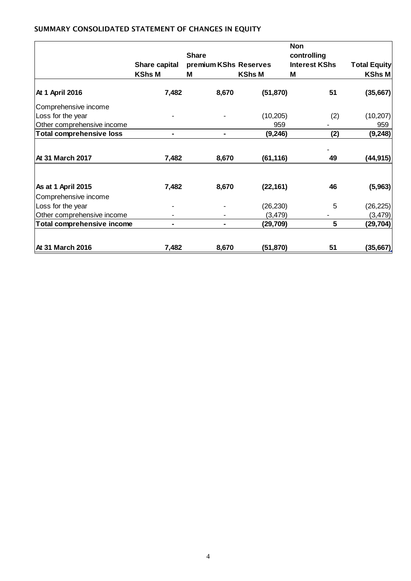## **SUMMARY CONSOLIDATED STATEMENT OF CHANGES IN EQUITY**

|                                 |                                | <b>Share</b><br>premium KShs Reserves |           | <b>Non</b>                          | <b>Total Equity</b> |
|---------------------------------|--------------------------------|---------------------------------------|-----------|-------------------------------------|---------------------|
|                                 |                                |                                       |           | controlling<br><b>Interest KShs</b> |                     |
|                                 | Share capital<br><b>KShs M</b> |                                       |           |                                     |                     |
|                                 |                                | <b>KShs M</b><br>M                    |           | м                                   | KShs M              |
| At 1 April 2016                 | 7,482                          | 8,670                                 | (51, 870) | 51                                  | (35,667)            |
| Comprehensive income            |                                |                                       |           |                                     |                     |
| Loss for the year               |                                |                                       | (10, 205) | (2)                                 | (10, 207)           |
| Other comprehensive income      |                                |                                       | 959       |                                     | 959                 |
| <b>Total comprehensive loss</b> |                                |                                       | (9, 246)  | (2)                                 | (9, 248)            |
|                                 |                                |                                       |           |                                     |                     |
| At 31 March 2017                | 7,482                          | 8,670                                 | (61, 116) | 49                                  | (44, 915)           |
|                                 |                                |                                       |           |                                     |                     |
| As at 1 April 2015              | 7,482                          | 8,670                                 | (22, 161) | 46                                  | (5,963)             |
| Comprehensive income            |                                |                                       |           |                                     |                     |
| Loss for the year               |                                |                                       | (26, 230) | 5                                   | (26, 225)           |
| Other comprehensive income      |                                |                                       | (3, 479)  |                                     | (3, 479)            |
| Total comprehensive income      |                                |                                       | (29, 709) | 5                                   | (29, 704)           |
|                                 |                                |                                       |           |                                     |                     |
| At 31 March 2016                | 7,482                          | 8,670                                 | (51,870)  | 51                                  | (35, 667)           |